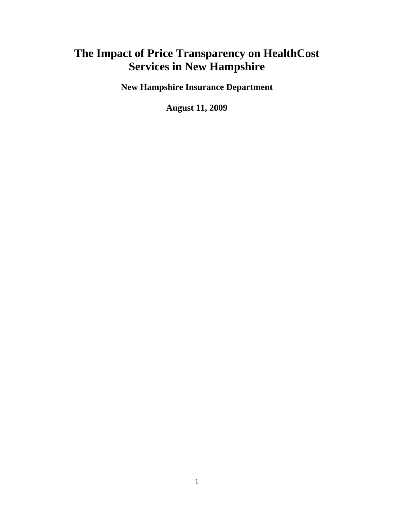# **The Impact of Price Transparency on HealthCost Services in New Hampshire**

**New Hampshire Insurance Department** 

**August 11, 2009**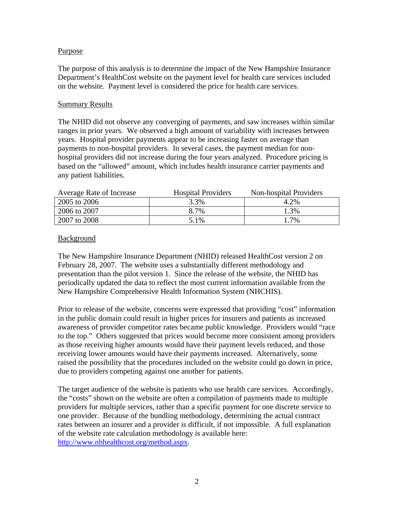#### Purpose

The purpose of this analysis is to determine the impact of the New Hampshire Insurance Department's HealthCost website on the payment level for health care services included on the website. Payment level is considered the price for health care services.

#### Summary Results

The NHID did not observe any converging of payments, and saw increases within similar ranges in prior years. We observed a high amount of variability with increases between years. Hospital provider payments appear to be increasing faster on average than payments to non-hospital providers. In several cases, the payment median for nonhospital providers did not increase during the four years analyzed. Procedure pricing is based on the "allowed" amount, which includes health insurance carrier payments and any patient liabilities.

| Average Rate of Increase | <b>Hospital Providers</b> | Non-hospital Providers |
|--------------------------|---------------------------|------------------------|
| 2005 to 2006             | 3.3%                      | 4.2%                   |
| 2006 to 2007             | 8.7%                      | 3%                     |
| 2007 to 2008             | 5.1%                      | .7%                    |

#### Background

The New Hampshire Insurance Department (NHID) released HealthCost version 2 on February 28, 2007. The website uses a substantially different methodology and presentation than the pilot version 1. Since the release of the website, the NHID has periodically updated the data to reflect the most current information available from the New Hampshire Comprehensive Health Information System (NHCHIS).

Prior to release of the website, concerns were expressed that providing "cost" information in the public domain could result in higher prices for insurers and patients as increased awareness of provider competitor rates became public knowledge. Providers would "race to the top." Others suggested that prices would become more consistent among providers as those receiving higher amounts would have their payment levels reduced, and those receiving lower amounts would have their payments increased. Alternatively, some raised the possibility that the procedures included on the website could go down in price, due to providers competing against one another for patients.

The target audience of the website is patients who use health care services. Accordingly, the "costs" shown on the website are often a compilation of payments made to multiple providers for multiple services, rather than a specific payment for one discrete service to one provider. Because of the bundling methodology, determining the actual contract rates between an insurer and a provider is difficult, if not impossible. A full explanation of the website rate calculation methodology is available here: http://www.nhhealthcost.org/method.aspx.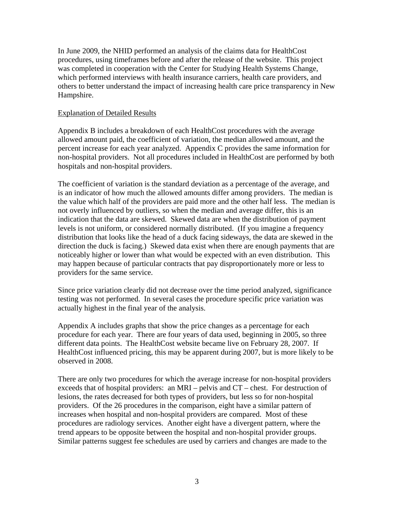In June 2009, the NHID performed an analysis of the claims data for HealthCost procedures, using timeframes before and after the release of the website. This project was completed in cooperation with the Center for Studying Health Systems Change, which performed interviews with health insurance carriers, health care providers, and others to better understand the impact of increasing health care price transparency in New Hampshire.

#### Explanation of Detailed Results

Appendix B includes a breakdown of each HealthCost procedures with the average allowed amount paid, the coefficient of variation, the median allowed amount, and the percent increase for each year analyzed. Appendix C provides the same information for non-hospital providers. Not all procedures included in HealthCost are performed by both hospitals and non-hospital providers.

The coefficient of variation is the standard deviation as a percentage of the average, and is an indicator of how much the allowed amounts differ among providers. The median is the value which half of the providers are paid more and the other half less. The median is not overly influenced by outliers, so when the median and average differ, this is an indication that the data are skewed. Skewed data are when the distribution of payment levels is not uniform, or considered normally distributed. (If you imagine a frequency distribution that looks like the head of a duck facing sideways, the data are skewed in the direction the duck is facing.) Skewed data exist when there are enough payments that are noticeably higher or lower than what would be expected with an even distribution. This may happen because of particular contracts that pay disproportionately more or less to providers for the same service.

Since price variation clearly did not decrease over the time period analyzed, significance testing was not performed. In several cases the procedure specific price variation was actually highest in the final year of the analysis.

Appendix A includes graphs that show the price changes as a percentage for each procedure for each year. There are four years of data used, beginning in 2005, so three different data points. The HealthCost website became live on February 28, 2007. If HealthCost influenced pricing, this may be apparent during 2007, but is more likely to be observed in 2008.

There are only two procedures for which the average increase for non-hospital providers exceeds that of hospital providers: an MRI – pelvis and CT – chest. For destruction of lesions, the rates decreased for both types of providers, but less so for non-hospital providers. Of the 26 procedures in the comparison, eight have a similar pattern of increases when hospital and non-hospital providers are compared. Most of these procedures are radiology services. Another eight have a divergent pattern, where the trend appears to be opposite between the hospital and non-hospital provider groups. Similar patterns suggest fee schedules are used by carriers and changes are made to the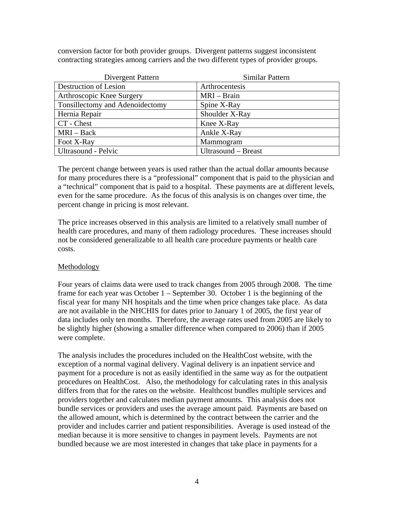conversion factor for both provider groups. Divergent patterns suggest inconsistent contracting strategies among carriers and the two different types of provider groups.

| Divergent Pattern               | Similar Pattern     |
|---------------------------------|---------------------|
| Destruction of Lesion           | Arthrocentesis      |
| Arthroscopic Knee Surgery       | MRI – Brain         |
| Tonsillectomy and Adenoidectomy | Spine X-Ray         |
| Hernia Repair                   | Shoulder X-Ray      |
| CT - Chest                      | Knee X-Ray          |
| $MRI - Back$                    | Ankle X-Ray         |
| Foot X-Ray                      | Mammogram           |
| Ultrasound - Pelvic             | Ultrasound – Breast |

The percent change between years is used rather than the actual dollar amounts because for many procedures there is a "professional" component that is paid to the physician and a "technical" component that is paid to a hospital. These payments are at different levels, even for the same procedure. As the focus of this analysis is on changes over time, the percent change in pricing is most relevant.

The price increases observed in this analysis are limited to a relatively small number of health care procedures, and many of them radiology procedures. These increases should not be considered generalizable to all health care procedure payments or health care costs.

## Methodology

Four years of claims data were used to track changes from 2005 through 2008. The time frame for each year was October 1 – September 30. October 1 is the beginning of the fiscal year for many NH hospitals and the time when price changes take place. As data are not available in the NHCHIS for dates prior to January 1 of 2005, the first year of data includes only ten months. Therefore, the average rates used from 2005 are likely to be slightly higher (showing a smaller difference when compared to 2006) than if 2005 were complete.

The analysis includes the procedures included on the HealthCost website, with the exception of a normal vaginal delivery. Vaginal delivery is an inpatient service and payment for a procedure is not as easily identified in the same way as for the outpatient procedures on HealthCost. Also, the methodology for calculating rates in this analysis differs from that for the rates on the website. Healthcost bundles multiple services and providers together and calculates median payment amounts. This analysis does not bundle services or providers and uses the average amount paid. Payments are based on the allowed amount, which is determined by the contract between the carrier and the provider and includes carrier and patient responsibilities. Average is used instead of the median because it is more sensitive to changes in payment levels. Payments are not bundled because we are most interested in changes that take place in payments for a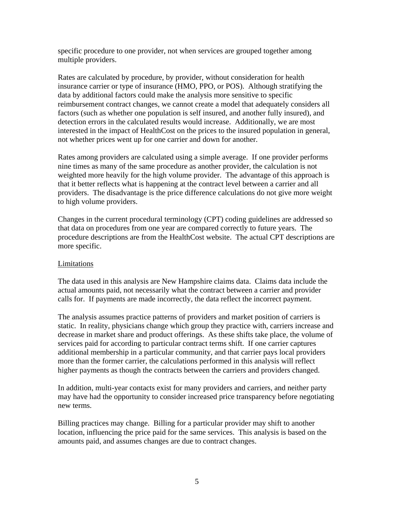specific procedure to one provider, not when services are grouped together among multiple providers.

Rates are calculated by procedure, by provider, without consideration for health insurance carrier or type of insurance (HMO, PPO, or POS). Although stratifying the data by additional factors could make the analysis more sensitive to specific reimbursement contract changes, we cannot create a model that adequately considers all factors (such as whether one population is self insured, and another fully insured), and detection errors in the calculated results would increase. Additionally, we are most interested in the impact of HealthCost on the prices to the insured population in general, not whether prices went up for one carrier and down for another.

Rates among providers are calculated using a simple average. If one provider performs nine times as many of the same procedure as another provider, the calculation is not weighted more heavily for the high volume provider. The advantage of this approach is that it better reflects what is happening at the contract level between a carrier and all providers. The disadvantage is the price difference calculations do not give more weight to high volume providers.

Changes in the current procedural terminology (CPT) coding guidelines are addressed so that data on procedures from one year are compared correctly to future years. The procedure descriptions are from the HealthCost website. The actual CPT descriptions are more specific.

## Limitations

The data used in this analysis are New Hampshire claims data. Claims data include the actual amounts paid, not necessarily what the contract between a carrier and provider calls for. If payments are made incorrectly, the data reflect the incorrect payment.

The analysis assumes practice patterns of providers and market position of carriers is static. In reality, physicians change which group they practice with, carriers increase and decrease in market share and product offerings. As these shifts take place, the volume of services paid for according to particular contract terms shift. If one carrier captures additional membership in a particular community, and that carrier pays local providers more than the former carrier, the calculations performed in this analysis will reflect higher payments as though the contracts between the carriers and providers changed.

In addition, multi-year contacts exist for many providers and carriers, and neither party may have had the opportunity to consider increased price transparency before negotiating new terms.

Billing practices may change. Billing for a particular provider may shift to another location, influencing the price paid for the same services. This analysis is based on the amounts paid, and assumes changes are due to contract changes.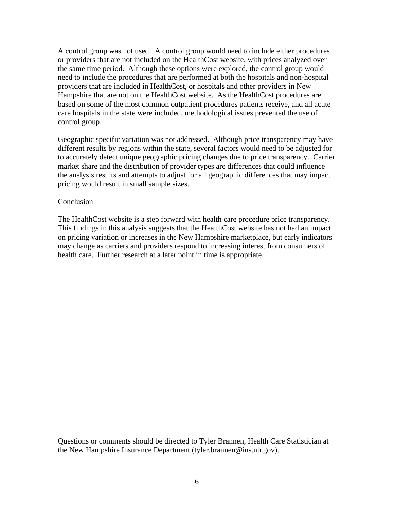A control group was not used. A control group would need to include either procedures or providers that are not included on the HealthCost website, with prices analyzed over the same time period. Although these options were explored, the control group would need to include the procedures that are performed at both the hospitals and non-hospital providers that are included in HealthCost, or hospitals and other providers in New Hampshire that are not on the HealthCost website. As the HealthCost procedures are based on some of the most common outpatient procedures patients receive, and all acute care hospitals in the state were included, methodological issues prevented the use of control group.

Geographic specific variation was not addressed. Although price transparency may have different results by regions within the state, several factors would need to be adjusted for to accurately detect unique geographic pricing changes due to price transparency. Carrier market share and the distribution of provider types are differences that could influence the analysis results and attempts to adjust for all geographic differences that may impact pricing would result in small sample sizes.

#### Conclusion

The HealthCost website is a step forward with health care procedure price transparency. This findings in this analysis suggests that the HealthCost website has not had an impact on pricing variation or increases in the New Hampshire marketplace, but early indicators may change as carriers and providers respond to increasing interest from consumers of health care. Further research at a later point in time is appropriate.

Questions or comments should be directed to Tyler Brannen, Health Care Statistician at the New Hampshire Insurance Department (tyler.brannen@ins.nh.gov).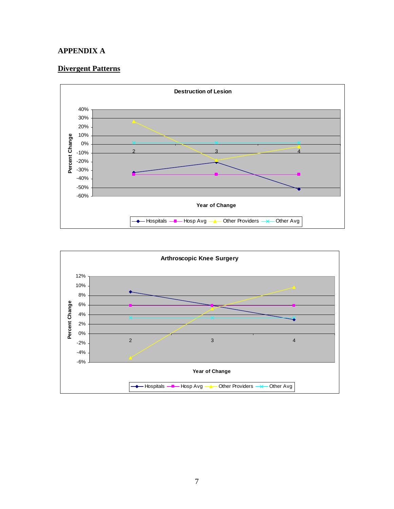#### **APPENDIX A**

# **Divergent Patterns**



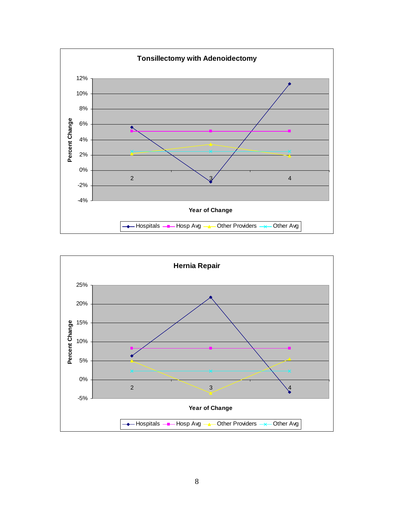

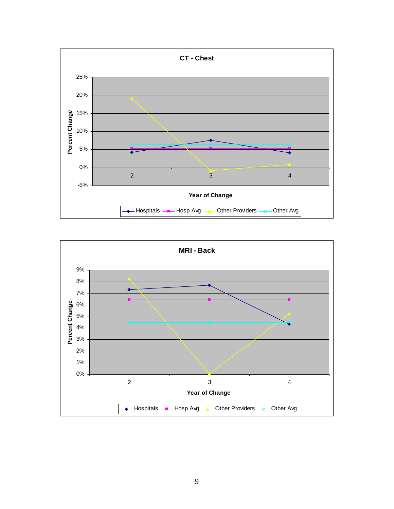

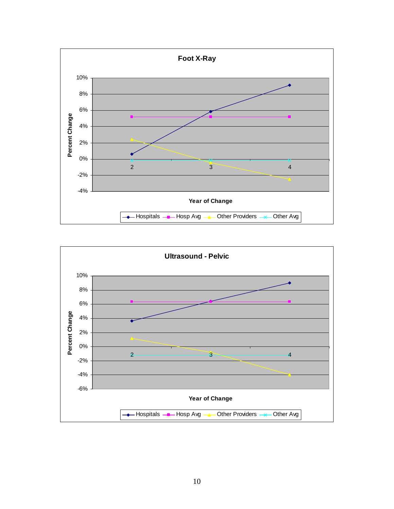

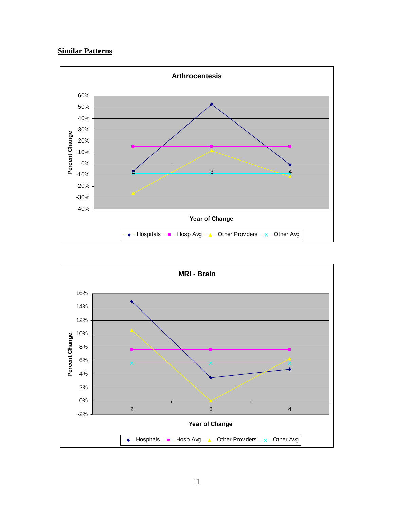## **Similar Patterns**



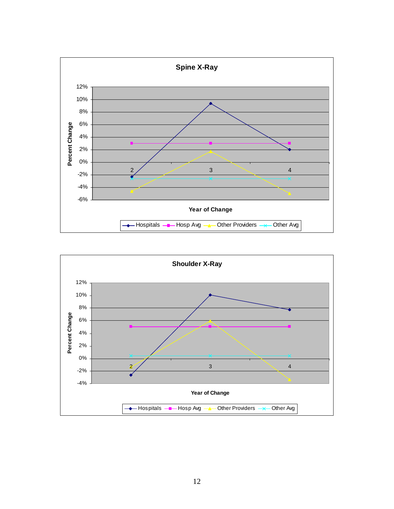

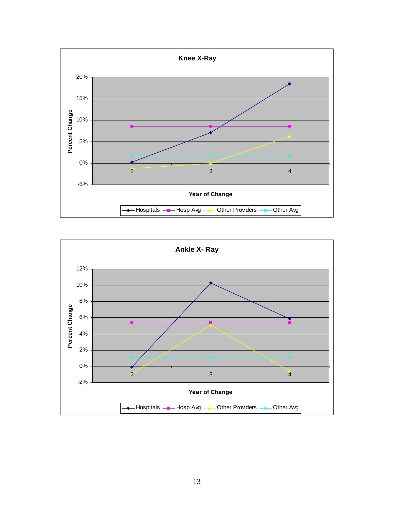

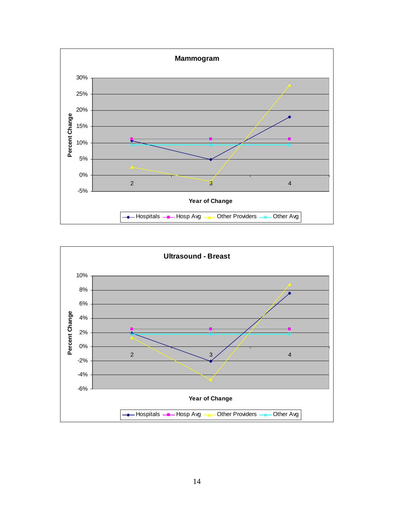

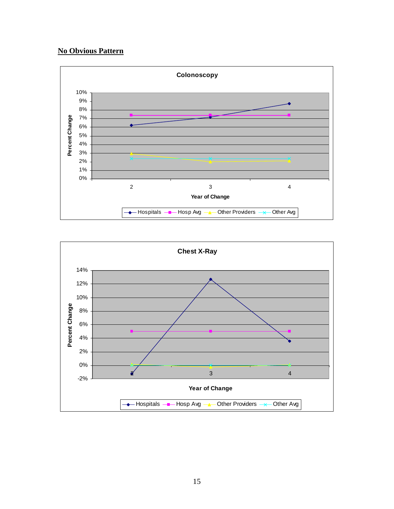## **No Obvious Pattern**



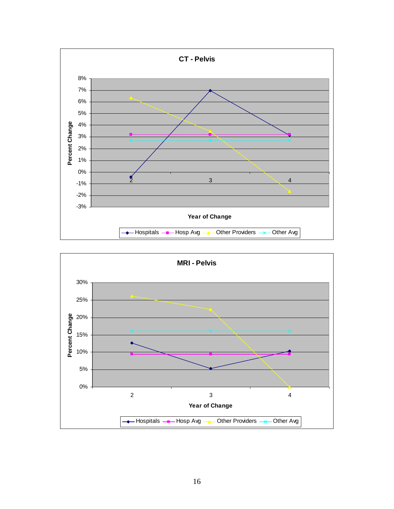

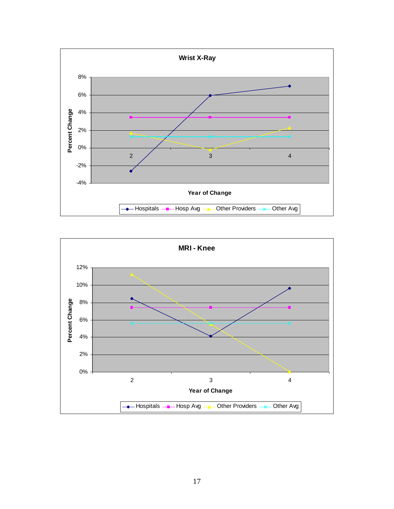

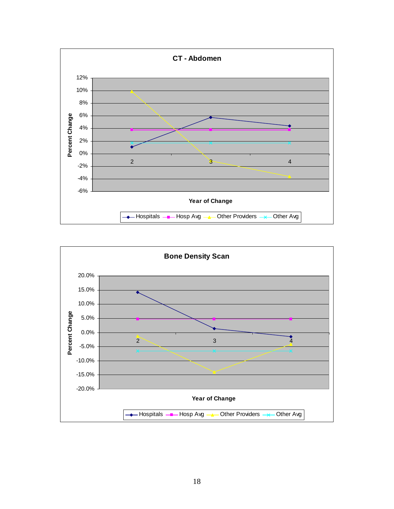

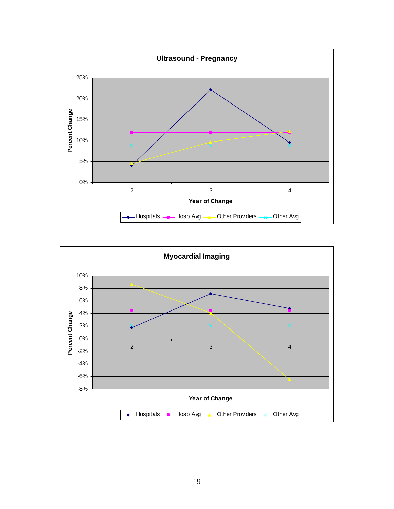

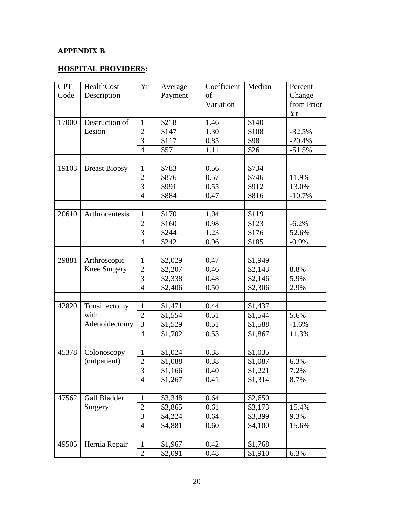# **APPENDIX B**

## **HOSPITAL PROVIDERS:**

| <b>CPT</b> | HealthCost           | Yr             | Average | Coefficient | Median  | Percent    |
|------------|----------------------|----------------|---------|-------------|---------|------------|
| Code       | Description          |                | Payment | of          |         | Change     |
|            |                      |                |         | Variation   |         | from Prior |
|            |                      |                |         |             |         | Yr         |
| 17000      | Destruction of       | $\mathbf{1}$   | \$218   | 1.46        | \$140   |            |
|            | Lesion               | $\overline{2}$ | \$147   | 1.30        | \$108   | $-32.5%$   |
|            |                      | $\overline{3}$ | \$117   | 0.85        | \$98    | $-20.4%$   |
|            |                      | $\overline{4}$ | \$57    | 1.11        | \$26    | $-51.5%$   |
|            |                      |                |         |             |         |            |
| 19103      | <b>Breast Biopsy</b> | $\mathbf{1}$   | \$783   | 0.56        | \$734   |            |
|            |                      | $\overline{2}$ | \$876   | 0.57        | \$746   | 11.9%      |
|            |                      | $\overline{3}$ | \$991   | 0.55        | \$912   | 13.0%      |
|            |                      | $\overline{4}$ | \$884   | 0.47        | \$816   | $-10.7%$   |
|            |                      |                |         |             |         |            |
| 20610      | Arthrocentesis       | $\mathbf{1}$   | \$170   | 1.04        | \$119   |            |
|            |                      | $\overline{2}$ | \$160   | 0.98        | \$123   | $-6.2%$    |
|            |                      | 3              | \$244   | 1.23        | \$176   | 52.6%      |
|            |                      | $\overline{4}$ | \$242   | 0.96        | \$185   | $-0.9\%$   |
|            |                      |                |         |             |         |            |
| 29881      | Arthroscopic         | $\mathbf{1}$   | \$2,029 | 0.47        | \$1,949 |            |
|            | <b>Knee Surgery</b>  | $\overline{c}$ | \$2,207 | 0.46        | \$2,143 | 8.8%       |
|            |                      | $\overline{3}$ | \$2,338 | 0.48        | \$2,146 | 5.9%       |
|            |                      | $\overline{4}$ | \$2,406 | 0.50        | \$2,306 | 2.9%       |
|            |                      |                |         |             |         |            |
| 42820      | Tonsillectomy        | $\mathbf{1}$   | \$1,471 | 0.44        | \$1,437 |            |
|            | with                 | $\overline{2}$ | \$1,554 | 0.51        | \$1,544 | 5.6%       |
|            | Adenoidectomy        | $\overline{3}$ | \$1,529 | 0.51        | \$1,588 | $-1.6%$    |
|            |                      | $\overline{4}$ | \$1,702 | 0.53        | \$1,867 | 11.3%      |
|            |                      |                |         |             |         |            |
| 45378      | Colonoscopy          | $\mathbf{1}$   | \$1,024 | 0.38        | \$1,035 |            |
|            | (outpatient)         | $\overline{2}$ | \$1,088 | 0.38        | \$1,087 | 6.3%       |
|            |                      | 3              | \$1,166 | 0.40        | \$1,221 | 7.2%       |
|            |                      | $\overline{4}$ | \$1,267 | 0.41        | \$1,314 | 8.7%       |
|            |                      |                |         |             |         |            |
| 47562      | Gall Bladder         | $\mathbf{1}$   | \$3,348 | 0.64        | \$2,650 |            |
|            | Surgery              | $\overline{2}$ | \$3,865 | 0.61        | \$3,173 | 15.4%      |
|            |                      | 3              | \$4,224 | 0.64        | \$3,399 | 9.3%       |
|            |                      | $\overline{4}$ | \$4,881 | 0.60        | \$4,100 | 15.6%      |
|            |                      |                |         |             |         |            |
| 49505      | Hernia Repair        | $\mathbf{1}$   | \$1,967 | 0.42        | \$1,768 |            |
|            |                      | $\overline{2}$ | \$2,091 | 0.48        | \$1,910 | 6.3%       |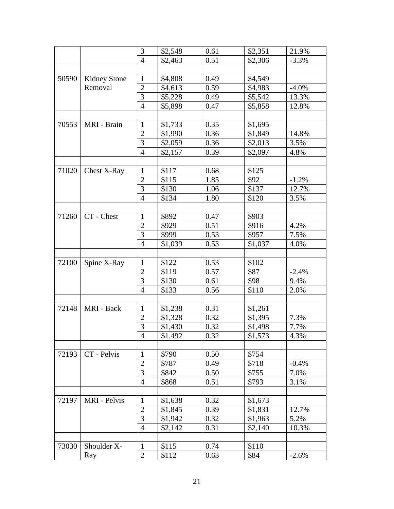|       |                     | 3              | \$2,548 | 0.61 | \$2,351 | 21.9%    |
|-------|---------------------|----------------|---------|------|---------|----------|
|       |                     | $\overline{4}$ | \$2,463 | 0.51 | \$2,306 | $-3.3%$  |
|       |                     |                |         |      |         |          |
| 50590 | <b>Kidney Stone</b> | $\mathbf{1}$   | \$4,808 | 0.49 | \$4,549 |          |
|       | Removal             | $\overline{c}$ | \$4,613 | 0.59 | \$4,983 | $-4.0\%$ |
|       |                     | 3              | \$5,228 | 0.49 | \$5,542 | 13.3%    |
|       |                     | $\overline{4}$ | \$5,898 | 0.47 | \$5,858 | 12.8%    |
|       |                     |                |         |      |         |          |
| 70553 | MRI - Brain         | $\mathbf{1}$   | \$1,733 | 0.35 | \$1,695 |          |
|       |                     | $\overline{2}$ | \$1,990 | 0.36 | \$1,849 | 14.8%    |
|       |                     | 3              | \$2,059 | 0.36 | \$2,013 | 3.5%     |
|       |                     | $\overline{4}$ | \$2,157 | 0.39 | \$2,097 | 4.8%     |
|       |                     |                |         |      |         |          |
| 71020 | Chest X-Ray         | $\mathbf{1}$   | \$117   | 0.68 | \$125   |          |
|       |                     | $\overline{2}$ | \$115   | 1.85 | \$92    | $-1.2%$  |
|       |                     | 3              | \$130   | 1.06 | \$137   | 12.7%    |
|       |                     | $\overline{4}$ | \$134   | 1.80 | \$120   | 3.5%     |
|       |                     |                |         |      |         |          |
| 71260 | CT - Chest          | $\mathbf{1}$   | \$892   | 0.47 | \$903   |          |
|       |                     | $\overline{2}$ | \$929   | 0.51 | \$916   | 4.2%     |
|       |                     | 3              | \$999   | 0.53 | \$957   | 7.5%     |
|       |                     | $\overline{4}$ | \$1,039 | 0.53 | \$1,037 | 4.0%     |
|       |                     |                |         |      |         |          |
| 72100 | Spine X-Ray         | $\mathbf{1}$   | \$122   | 0.53 | \$102   |          |
|       |                     | $\overline{2}$ | \$119   | 0.57 | \$87    | $-2.4%$  |
|       |                     | 3              | \$130   | 0.61 | \$98    | 9.4%     |
|       |                     | $\overline{4}$ | \$133   | 0.56 | \$110   | 2.0%     |
|       |                     |                |         |      |         |          |
| 72148 | MRI - Back          | $\mathbf{1}$   | \$1,238 | 0.31 | \$1,261 |          |
|       |                     | $\overline{2}$ | \$1,328 | 0.32 | \$1,395 | 7.3%     |
|       |                     | $\mathfrak{Z}$ | \$1,430 | 0.32 | \$1,498 | 7.7%     |
|       |                     | 4              | \$1,492 | 0.32 | \$1,573 | 4.3%     |
|       |                     |                |         |      |         |          |
| 72193 | CT - Pelvis         | $\mathbf{1}$   | \$790   | 0.50 | \$754   |          |
|       |                     | 2              | \$787   | 0.49 | \$718   | $-0.4%$  |
|       |                     | 3              | \$842   | 0.50 | \$755   | 7.0%     |
|       |                     | $\overline{4}$ | \$868   | 0.51 | \$793   | 3.1%     |
|       |                     |                |         |      |         |          |
| 72197 | MRI - Pelvis        | $\mathbf{1}$   | \$1,638 | 0.32 | \$1,673 |          |
|       |                     | 2              | \$1,845 | 0.39 | \$1,831 | 12.7%    |
|       |                     | 3              | \$1,942 | 0.32 | \$1,963 | 5.2%     |
|       |                     | $\overline{4}$ | \$2,142 | 0.31 | \$2,140 | 10.3%    |
|       |                     |                |         |      |         |          |
| 73030 | Shoulder X-         | $\mathbf{1}$   | \$115   | 0.74 | \$110   |          |
|       | Ray                 | $\overline{2}$ | \$112   | 0.63 | \$84    | $-2.6%$  |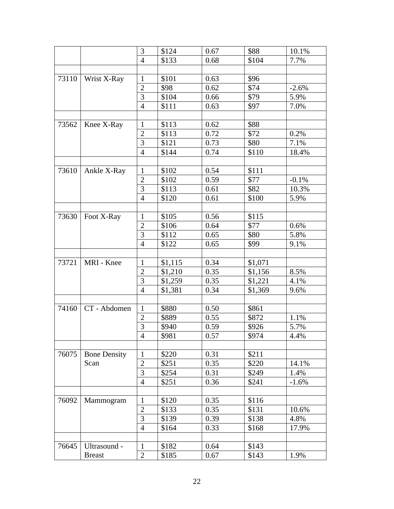|       |                     | 3              | \$124   | 0.67 | \$88    | 10.1%   |
|-------|---------------------|----------------|---------|------|---------|---------|
|       |                     | $\overline{4}$ | \$133   | 0.68 | \$104   | 7.7%    |
|       |                     |                |         |      |         |         |
| 73110 | Wrist X-Ray         | $\mathbf{1}$   | \$101   | 0.63 | \$96    |         |
|       |                     | $\overline{c}$ | \$98    | 0.62 | \$74    | $-2.6%$ |
|       |                     | 3              | \$104   | 0.66 | \$79    | 5.9%    |
|       |                     | $\overline{4}$ | \$111   | 0.63 | \$97    | 7.0%    |
|       |                     |                |         |      |         |         |
| 73562 | Knee X-Ray          | $\mathbf{1}$   | \$113   | 0.62 | \$88    |         |
|       |                     | $\overline{2}$ | \$113   | 0.72 | \$72    | 0.2%    |
|       |                     | 3              | \$121   | 0.73 | \$80    | 7.1%    |
|       |                     | $\overline{4}$ | \$144   | 0.74 | \$110   | 18.4%   |
|       |                     |                |         |      |         |         |
| 73610 | Ankle X-Ray         | $\mathbf{1}$   | \$102   | 0.54 | \$111   |         |
|       |                     | $\overline{2}$ | \$102   | 0.59 | \$77    | $-0.1%$ |
|       |                     | 3              | \$113   | 0.61 | \$82    | 10.3%   |
|       |                     | $\overline{4}$ | \$120   | 0.61 | \$100   | 5.9%    |
|       |                     |                |         |      |         |         |
| 73630 | Foot X-Ray          | $\mathbf{1}$   | \$105   | 0.56 | \$115   |         |
|       |                     | $\overline{2}$ | \$106   | 0.64 | \$77    | 0.6%    |
|       |                     | 3              | \$112   | 0.65 | \$80    | 5.8%    |
|       |                     | $\overline{4}$ | \$122   | 0.65 | \$99    | 9.1%    |
|       |                     |                |         |      |         |         |
| 73721 | MRI - Knee          | $\mathbf{1}$   | \$1,115 | 0.34 | \$1,071 |         |
|       |                     | $\overline{c}$ | \$1,210 | 0.35 | \$1,156 | 8.5%    |
|       |                     | 3              | \$1,259 | 0.35 | \$1,221 | 4.1%    |
|       |                     | $\overline{4}$ | \$1,381 | 0.34 | \$1,369 | 9.6%    |
|       |                     |                |         |      |         |         |
| 74160 | CT - Abdomen        | $\mathbf{1}$   | \$880   | 0.50 | \$861   |         |
|       |                     | $\overline{2}$ | \$889   | 0.55 | \$872   | 1.1%    |
|       |                     | $\mathfrak{Z}$ | \$940   | 0.59 | \$926   | 5.7%    |
|       |                     | 4              | \$981   | 0.57 | \$974   | 4.4%    |
|       |                     |                |         |      |         |         |
| 76075 | <b>Bone Density</b> | $\mathbf{1}$   | \$220   | 0.31 | \$211   |         |
|       | Scan                | $\overline{2}$ | \$251   | 0.35 | \$220   | 14.1%   |
|       |                     | 3              | \$254   | 0.31 | \$249   | 1.4%    |
|       |                     | $\overline{4}$ | \$251   | 0.36 | \$241   | $-1.6%$ |
|       |                     |                |         |      |         |         |
| 76092 | Mammogram           | $\mathbf{1}$   | \$120   | 0.35 | \$116   |         |
|       |                     | $\overline{2}$ | \$133   | 0.35 | \$131   | 10.6%   |
|       |                     | 3              | \$139   | 0.39 | \$138   | 4.8%    |
|       |                     | $\overline{4}$ | \$164   | 0.33 | \$168   | 17.9%   |
|       |                     |                |         |      |         |         |
| 76645 | Ultrasound -        | $\mathbf{1}$   | \$182   | 0.64 | \$143   |         |
|       | <b>Breast</b>       | $\overline{2}$ | \$185   | 0.67 | \$143   | 1.9%    |
|       |                     |                |         |      |         |         |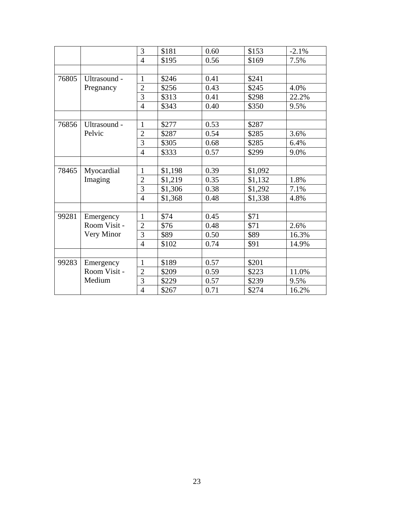|       |              | 3              | \$181   | 0.60 | \$153   | $-2.1%$ |
|-------|--------------|----------------|---------|------|---------|---------|
|       |              | $\overline{4}$ | \$195   | 0.56 | \$169   | 7.5%    |
|       |              |                |         |      |         |         |
| 76805 | Ultrasound - | $\mathbf{1}$   | \$246   | 0.41 | \$241   |         |
|       | Pregnancy    | $\overline{2}$ | \$256   | 0.43 | \$245   | 4.0%    |
|       |              | 3              | \$313   | 0.41 | \$298   | 22.2%   |
|       |              | $\overline{4}$ | \$343   | 0.40 | \$350   | 9.5%    |
|       |              |                |         |      |         |         |
| 76856 | Ultrasound - | $\mathbf{1}$   | \$277   | 0.53 | \$287   |         |
|       | Pelvic       | $\overline{2}$ | \$287   | 0.54 | \$285   | 3.6%    |
|       |              | $\overline{3}$ | \$305   | 0.68 | \$285   | 6.4%    |
|       |              | $\overline{4}$ | \$333   | 0.57 | \$299   | 9.0%    |
|       |              |                |         |      |         |         |
| 78465 | Myocardial   | $\mathbf{1}$   | \$1,198 | 0.39 | \$1,092 |         |
|       | Imaging      | $\overline{2}$ | \$1,219 | 0.35 | \$1,132 | 1.8%    |
|       |              | 3              | \$1,306 | 0.38 | \$1,292 | 7.1%    |
|       |              | $\overline{4}$ | \$1,368 | 0.48 | \$1,338 | 4.8%    |
|       |              |                |         |      |         |         |
| 99281 | Emergency    | $\mathbf{1}$   | \$74    | 0.45 | \$71    |         |
|       | Room Visit - | $\overline{2}$ | \$76    | 0.48 | \$71    | 2.6%    |
|       | Very Minor   | 3              | \$89    | 0.50 | \$89    | 16.3%   |
|       |              | $\overline{4}$ | \$102   | 0.74 | \$91    | 14.9%   |
|       |              |                |         |      |         |         |
| 99283 | Emergency    | $\mathbf{1}$   | \$189   | 0.57 | \$201   |         |
|       | Room Visit - | $\overline{2}$ | \$209   | 0.59 | \$223   | 11.0%   |
|       | Medium       | 3              | \$229   | 0.57 | \$239   | 9.5%    |
|       |              | $\overline{4}$ | \$267   | 0.71 | \$274   | 16.2%   |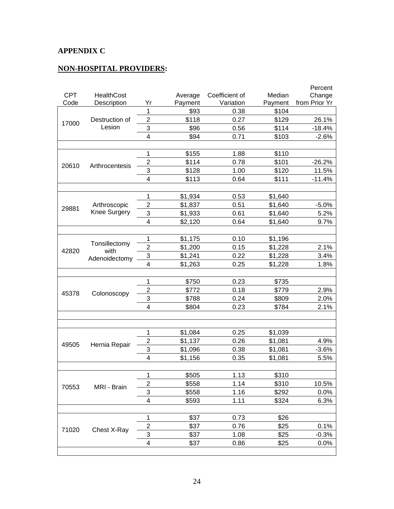# **APPENDIX C**

## **NON-HOSPITAL PROVIDERS:**

|            |                       |                           |         |                |         | Percent       |
|------------|-----------------------|---------------------------|---------|----------------|---------|---------------|
| <b>CPT</b> | <b>HealthCost</b>     |                           | Average | Coefficient of | Median  | Change        |
| Code       | Description           | Yr                        | Payment | Variation      | Payment | from Prior Yr |
|            |                       | 1                         | \$93    | 0.38           | \$104   |               |
| 17000      | Destruction of        | $\overline{2}$            | \$118   | 0.27           | \$129   | 26.1%         |
|            | Lesion                | 3                         | \$96    | 0.56           | \$114   | $-18.4%$      |
|            |                       | 4                         | \$94    | 0.71           | \$103   | $-2.6%$       |
|            |                       |                           |         |                |         |               |
|            |                       | 1                         | \$155   | 1.88           | \$110   |               |
| 20610      | Arthrocentesis        | $\overline{2}$            | \$114   | 0.78           | \$101   | $-26.2%$      |
|            |                       | 3                         | \$128   | 1.00           | \$120   | 11.5%         |
|            |                       | 4                         | \$113   | 0.64           | \$111   | $-11.4%$      |
|            |                       |                           |         |                |         |               |
|            |                       | 1                         | \$1,934 | 0.53           | \$1,640 |               |
| 29881      | Arthroscopic          | $\boldsymbol{2}$          | \$1,837 | 0.51           | \$1,640 | $-5.0%$       |
|            | Knee Surgery          | 3                         | \$1,933 | 0.61           | \$1,640 | 5.2%          |
|            |                       | 4                         | \$2,120 | 0.64           | \$1,640 | 9.7%          |
|            |                       |                           |         |                |         |               |
|            |                       | 1                         | \$1,175 | 0.10           | \$1,196 |               |
|            | Tonsillectomy<br>with | $\overline{2}$            | \$1,200 | 0.15           | \$1,228 | 2.1%          |
| 42820      | Adenoidectomy         | $\ensuremath{\mathsf{3}}$ | \$1,241 | 0.22           | \$1,228 | 3.4%          |
|            |                       | 4                         | \$1,263 | 0.25           | \$1,228 | 1.8%          |
|            |                       |                           |         |                |         |               |
|            |                       | 1                         | \$750   | 0.23           | \$735   |               |
|            | Colonoscopy           | $\overline{2}$            | \$772   | 0.18           | \$779   | 2.9%          |
| 45378      |                       | 3                         | \$788   | 0.24           | \$809   | 2.0%          |
|            |                       | 4                         | \$804   | 0.23           | \$784   | 2.1%          |
|            |                       |                           |         |                |         |               |
|            |                       |                           |         |                |         |               |
|            |                       | 1                         | \$1,084 | 0.25           | \$1,039 |               |
|            |                       | $\overline{c}$            | \$1,137 | 0.26           | \$1,081 | 4.9%          |
| 49505      | Hernia Repair         | 3                         | \$1,096 | 0.38           | \$1,081 | $-3.6%$       |
|            |                       | 4                         | \$1,156 | 0.35           | \$1,081 | 5.5%          |
|            |                       |                           |         |                |         |               |
|            |                       | 1                         | \$505   | 1.13           | \$310   |               |
|            |                       | 2                         | \$558   | 1.14           | \$310   | 10.5%         |
| 70553      | MRI - Brain           | 3                         | \$558   | 1.16           | \$292   | 0.0%          |
|            |                       | 4                         | \$593   | 1.11           | \$324   | 6.3%          |
|            |                       |                           |         |                |         |               |
|            |                       | 1                         | \$37    | 0.73           | \$26    |               |
|            |                       | $\boldsymbol{2}$          | \$37    | 0.76           | \$25    | 0.1%          |
| 71020      | Chest X-Ray           | 3                         | \$37    |                | \$25    | $-0.3%$       |
|            |                       | 4                         |         | 1.08<br>0.86   |         |               |
|            |                       |                           | \$37    |                | \$25    | 0.0%          |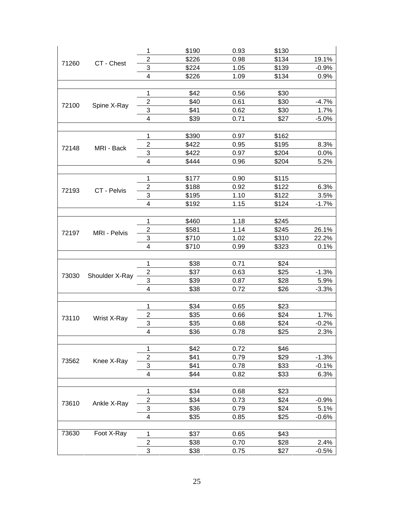| $\overline{c}$<br>\$226<br>19.1%<br>0.98<br>\$134<br>CT - Chest<br>71260<br>3<br>\$224<br>1.05<br>\$139<br>$-0.9%$<br>\$226<br>1.09<br>\$134<br>0.9%<br>4<br>\$42<br>\$30<br>$\mathbf 1$<br>0.56<br>$\boldsymbol{2}$<br>\$40<br>0.61<br>\$30<br>$-4.7%$<br>72100<br>Spine X-Ray<br>3<br>\$41<br>0.62<br>\$30<br>1.7%<br>\$39<br>\$27<br>4<br>0.71<br>$-5.0%$<br>\$390<br>$\mathbf 1$<br>0.97<br>\$162<br>$\overline{c}$<br>\$422<br>0.95<br>\$195<br>8.3%<br>72148<br>MRI - Back<br>3<br>\$422<br>0.97<br>\$204<br>0.0%<br>4<br>\$444<br>0.96<br>\$204<br>5.2%<br>1<br>\$177<br>0.90<br>\$115<br>2<br>\$188<br>0.92<br>\$122<br>6.3%<br>CT - Pelvis<br>72193<br>3<br>\$195<br>1.10<br>\$122<br>3.5%<br>4<br>\$192<br>1.15<br>\$124<br>$-1.7%$<br>\$460<br>1.18<br>1<br>\$245<br>\$581<br>$\overline{2}$<br>1.14<br>\$245<br>26.1%<br>72197<br>MRI - Pelvis<br>22.2%<br>3<br>\$710<br>1.02<br>\$310<br>4<br>\$710<br>0.99<br>\$323<br>0.1%<br>\$38<br>0.71<br>\$24<br>1<br>$\mathbf 2$<br>\$37<br>\$25<br>0.63<br>$-1.3%$<br>73030<br>Shoulder X-Ray<br>3<br>\$39<br>\$28<br>5.9%<br>0.87<br>\$38<br>4<br>0.72<br>\$26<br>$-3.3%$<br>\$34<br>0.65<br>\$23<br>1<br>$\overline{\mathbf{c}}$<br>\$35<br>0.66<br>\$24<br>1.7%<br>73110<br>Wrist X-Ray<br>3<br>\$35<br>\$24<br>0.68<br>$-0.2%$<br>$\overline{\mathbf{4}}$<br>\$36<br>\$25<br>2.3%<br>0.78<br>\$42<br>0.72<br>\$46<br>1<br>$\mathbf 2$<br>\$41<br>0.79<br>\$29<br>$-1.3%$<br>Knee X-Ray<br>73562<br>3<br>\$41<br>0.78<br>\$33<br>$-0.1%$<br>$\overline{\mathbf{4}}$<br>\$44<br>0.82<br>\$33<br>6.3%<br>\$34<br>1<br>0.68<br>\$23<br>$\overline{\mathbf{c}}$<br>\$34<br>0.73<br>\$24<br>$-0.9%$<br>73610<br>Ankle X-Ray<br>3<br>\$36<br>0.79<br>\$24<br>5.1%<br>4<br>\$35<br>\$25<br>$-0.6%$<br>0.85<br>73630<br>Foot X-Ray<br>\$37<br>\$43<br>1<br>0.65<br>$\boldsymbol{2}$<br>\$38<br>0.70<br>\$28<br>2.4%<br>3<br>\$38<br>0.75<br>\$27<br>$-0.5%$ |  |  | 1 | \$190 | 0.93 | \$130 |  |
|--------------------------------------------------------------------------------------------------------------------------------------------------------------------------------------------------------------------------------------------------------------------------------------------------------------------------------------------------------------------------------------------------------------------------------------------------------------------------------------------------------------------------------------------------------------------------------------------------------------------------------------------------------------------------------------------------------------------------------------------------------------------------------------------------------------------------------------------------------------------------------------------------------------------------------------------------------------------------------------------------------------------------------------------------------------------------------------------------------------------------------------------------------------------------------------------------------------------------------------------------------------------------------------------------------------------------------------------------------------------------------------------------------------------------------------------------------------------------------------------------------------------------------------------------------------------------------------------------------------------------------------------------------------------------------------------------------------------------------------------------------------------------------------------------------------------------------------------------------------------------------------------------------------|--|--|---|-------|------|-------|--|
|                                                                                                                                                                                                                                                                                                                                                                                                                                                                                                                                                                                                                                                                                                                                                                                                                                                                                                                                                                                                                                                                                                                                                                                                                                                                                                                                                                                                                                                                                                                                                                                                                                                                                                                                                                                                                                                                                                              |  |  |   |       |      |       |  |
|                                                                                                                                                                                                                                                                                                                                                                                                                                                                                                                                                                                                                                                                                                                                                                                                                                                                                                                                                                                                                                                                                                                                                                                                                                                                                                                                                                                                                                                                                                                                                                                                                                                                                                                                                                                                                                                                                                              |  |  |   |       |      |       |  |
|                                                                                                                                                                                                                                                                                                                                                                                                                                                                                                                                                                                                                                                                                                                                                                                                                                                                                                                                                                                                                                                                                                                                                                                                                                                                                                                                                                                                                                                                                                                                                                                                                                                                                                                                                                                                                                                                                                              |  |  |   |       |      |       |  |
|                                                                                                                                                                                                                                                                                                                                                                                                                                                                                                                                                                                                                                                                                                                                                                                                                                                                                                                                                                                                                                                                                                                                                                                                                                                                                                                                                                                                                                                                                                                                                                                                                                                                                                                                                                                                                                                                                                              |  |  |   |       |      |       |  |
|                                                                                                                                                                                                                                                                                                                                                                                                                                                                                                                                                                                                                                                                                                                                                                                                                                                                                                                                                                                                                                                                                                                                                                                                                                                                                                                                                                                                                                                                                                                                                                                                                                                                                                                                                                                                                                                                                                              |  |  |   |       |      |       |  |
|                                                                                                                                                                                                                                                                                                                                                                                                                                                                                                                                                                                                                                                                                                                                                                                                                                                                                                                                                                                                                                                                                                                                                                                                                                                                                                                                                                                                                                                                                                                                                                                                                                                                                                                                                                                                                                                                                                              |  |  |   |       |      |       |  |
|                                                                                                                                                                                                                                                                                                                                                                                                                                                                                                                                                                                                                                                                                                                                                                                                                                                                                                                                                                                                                                                                                                                                                                                                                                                                                                                                                                                                                                                                                                                                                                                                                                                                                                                                                                                                                                                                                                              |  |  |   |       |      |       |  |
|                                                                                                                                                                                                                                                                                                                                                                                                                                                                                                                                                                                                                                                                                                                                                                                                                                                                                                                                                                                                                                                                                                                                                                                                                                                                                                                                                                                                                                                                                                                                                                                                                                                                                                                                                                                                                                                                                                              |  |  |   |       |      |       |  |
|                                                                                                                                                                                                                                                                                                                                                                                                                                                                                                                                                                                                                                                                                                                                                                                                                                                                                                                                                                                                                                                                                                                                                                                                                                                                                                                                                                                                                                                                                                                                                                                                                                                                                                                                                                                                                                                                                                              |  |  |   |       |      |       |  |
|                                                                                                                                                                                                                                                                                                                                                                                                                                                                                                                                                                                                                                                                                                                                                                                                                                                                                                                                                                                                                                                                                                                                                                                                                                                                                                                                                                                                                                                                                                                                                                                                                                                                                                                                                                                                                                                                                                              |  |  |   |       |      |       |  |
|                                                                                                                                                                                                                                                                                                                                                                                                                                                                                                                                                                                                                                                                                                                                                                                                                                                                                                                                                                                                                                                                                                                                                                                                                                                                                                                                                                                                                                                                                                                                                                                                                                                                                                                                                                                                                                                                                                              |  |  |   |       |      |       |  |
|                                                                                                                                                                                                                                                                                                                                                                                                                                                                                                                                                                                                                                                                                                                                                                                                                                                                                                                                                                                                                                                                                                                                                                                                                                                                                                                                                                                                                                                                                                                                                                                                                                                                                                                                                                                                                                                                                                              |  |  |   |       |      |       |  |
|                                                                                                                                                                                                                                                                                                                                                                                                                                                                                                                                                                                                                                                                                                                                                                                                                                                                                                                                                                                                                                                                                                                                                                                                                                                                                                                                                                                                                                                                                                                                                                                                                                                                                                                                                                                                                                                                                                              |  |  |   |       |      |       |  |
|                                                                                                                                                                                                                                                                                                                                                                                                                                                                                                                                                                                                                                                                                                                                                                                                                                                                                                                                                                                                                                                                                                                                                                                                                                                                                                                                                                                                                                                                                                                                                                                                                                                                                                                                                                                                                                                                                                              |  |  |   |       |      |       |  |
|                                                                                                                                                                                                                                                                                                                                                                                                                                                                                                                                                                                                                                                                                                                                                                                                                                                                                                                                                                                                                                                                                                                                                                                                                                                                                                                                                                                                                                                                                                                                                                                                                                                                                                                                                                                                                                                                                                              |  |  |   |       |      |       |  |
|                                                                                                                                                                                                                                                                                                                                                                                                                                                                                                                                                                                                                                                                                                                                                                                                                                                                                                                                                                                                                                                                                                                                                                                                                                                                                                                                                                                                                                                                                                                                                                                                                                                                                                                                                                                                                                                                                                              |  |  |   |       |      |       |  |
|                                                                                                                                                                                                                                                                                                                                                                                                                                                                                                                                                                                                                                                                                                                                                                                                                                                                                                                                                                                                                                                                                                                                                                                                                                                                                                                                                                                                                                                                                                                                                                                                                                                                                                                                                                                                                                                                                                              |  |  |   |       |      |       |  |
|                                                                                                                                                                                                                                                                                                                                                                                                                                                                                                                                                                                                                                                                                                                                                                                                                                                                                                                                                                                                                                                                                                                                                                                                                                                                                                                                                                                                                                                                                                                                                                                                                                                                                                                                                                                                                                                                                                              |  |  |   |       |      |       |  |
|                                                                                                                                                                                                                                                                                                                                                                                                                                                                                                                                                                                                                                                                                                                                                                                                                                                                                                                                                                                                                                                                                                                                                                                                                                                                                                                                                                                                                                                                                                                                                                                                                                                                                                                                                                                                                                                                                                              |  |  |   |       |      |       |  |
|                                                                                                                                                                                                                                                                                                                                                                                                                                                                                                                                                                                                                                                                                                                                                                                                                                                                                                                                                                                                                                                                                                                                                                                                                                                                                                                                                                                                                                                                                                                                                                                                                                                                                                                                                                                                                                                                                                              |  |  |   |       |      |       |  |
|                                                                                                                                                                                                                                                                                                                                                                                                                                                                                                                                                                                                                                                                                                                                                                                                                                                                                                                                                                                                                                                                                                                                                                                                                                                                                                                                                                                                                                                                                                                                                                                                                                                                                                                                                                                                                                                                                                              |  |  |   |       |      |       |  |
|                                                                                                                                                                                                                                                                                                                                                                                                                                                                                                                                                                                                                                                                                                                                                                                                                                                                                                                                                                                                                                                                                                                                                                                                                                                                                                                                                                                                                                                                                                                                                                                                                                                                                                                                                                                                                                                                                                              |  |  |   |       |      |       |  |
|                                                                                                                                                                                                                                                                                                                                                                                                                                                                                                                                                                                                                                                                                                                                                                                                                                                                                                                                                                                                                                                                                                                                                                                                                                                                                                                                                                                                                                                                                                                                                                                                                                                                                                                                                                                                                                                                                                              |  |  |   |       |      |       |  |
|                                                                                                                                                                                                                                                                                                                                                                                                                                                                                                                                                                                                                                                                                                                                                                                                                                                                                                                                                                                                                                                                                                                                                                                                                                                                                                                                                                                                                                                                                                                                                                                                                                                                                                                                                                                                                                                                                                              |  |  |   |       |      |       |  |
|                                                                                                                                                                                                                                                                                                                                                                                                                                                                                                                                                                                                                                                                                                                                                                                                                                                                                                                                                                                                                                                                                                                                                                                                                                                                                                                                                                                                                                                                                                                                                                                                                                                                                                                                                                                                                                                                                                              |  |  |   |       |      |       |  |
|                                                                                                                                                                                                                                                                                                                                                                                                                                                                                                                                                                                                                                                                                                                                                                                                                                                                                                                                                                                                                                                                                                                                                                                                                                                                                                                                                                                                                                                                                                                                                                                                                                                                                                                                                                                                                                                                                                              |  |  |   |       |      |       |  |
|                                                                                                                                                                                                                                                                                                                                                                                                                                                                                                                                                                                                                                                                                                                                                                                                                                                                                                                                                                                                                                                                                                                                                                                                                                                                                                                                                                                                                                                                                                                                                                                                                                                                                                                                                                                                                                                                                                              |  |  |   |       |      |       |  |
|                                                                                                                                                                                                                                                                                                                                                                                                                                                                                                                                                                                                                                                                                                                                                                                                                                                                                                                                                                                                                                                                                                                                                                                                                                                                                                                                                                                                                                                                                                                                                                                                                                                                                                                                                                                                                                                                                                              |  |  |   |       |      |       |  |
|                                                                                                                                                                                                                                                                                                                                                                                                                                                                                                                                                                                                                                                                                                                                                                                                                                                                                                                                                                                                                                                                                                                                                                                                                                                                                                                                                                                                                                                                                                                                                                                                                                                                                                                                                                                                                                                                                                              |  |  |   |       |      |       |  |
|                                                                                                                                                                                                                                                                                                                                                                                                                                                                                                                                                                                                                                                                                                                                                                                                                                                                                                                                                                                                                                                                                                                                                                                                                                                                                                                                                                                                                                                                                                                                                                                                                                                                                                                                                                                                                                                                                                              |  |  |   |       |      |       |  |
|                                                                                                                                                                                                                                                                                                                                                                                                                                                                                                                                                                                                                                                                                                                                                                                                                                                                                                                                                                                                                                                                                                                                                                                                                                                                                                                                                                                                                                                                                                                                                                                                                                                                                                                                                                                                                                                                                                              |  |  |   |       |      |       |  |
|                                                                                                                                                                                                                                                                                                                                                                                                                                                                                                                                                                                                                                                                                                                                                                                                                                                                                                                                                                                                                                                                                                                                                                                                                                                                                                                                                                                                                                                                                                                                                                                                                                                                                                                                                                                                                                                                                                              |  |  |   |       |      |       |  |
|                                                                                                                                                                                                                                                                                                                                                                                                                                                                                                                                                                                                                                                                                                                                                                                                                                                                                                                                                                                                                                                                                                                                                                                                                                                                                                                                                                                                                                                                                                                                                                                                                                                                                                                                                                                                                                                                                                              |  |  |   |       |      |       |  |
|                                                                                                                                                                                                                                                                                                                                                                                                                                                                                                                                                                                                                                                                                                                                                                                                                                                                                                                                                                                                                                                                                                                                                                                                                                                                                                                                                                                                                                                                                                                                                                                                                                                                                                                                                                                                                                                                                                              |  |  |   |       |      |       |  |
|                                                                                                                                                                                                                                                                                                                                                                                                                                                                                                                                                                                                                                                                                                                                                                                                                                                                                                                                                                                                                                                                                                                                                                                                                                                                                                                                                                                                                                                                                                                                                                                                                                                                                                                                                                                                                                                                                                              |  |  |   |       |      |       |  |
|                                                                                                                                                                                                                                                                                                                                                                                                                                                                                                                                                                                                                                                                                                                                                                                                                                                                                                                                                                                                                                                                                                                                                                                                                                                                                                                                                                                                                                                                                                                                                                                                                                                                                                                                                                                                                                                                                                              |  |  |   |       |      |       |  |
|                                                                                                                                                                                                                                                                                                                                                                                                                                                                                                                                                                                                                                                                                                                                                                                                                                                                                                                                                                                                                                                                                                                                                                                                                                                                                                                                                                                                                                                                                                                                                                                                                                                                                                                                                                                                                                                                                                              |  |  |   |       |      |       |  |
|                                                                                                                                                                                                                                                                                                                                                                                                                                                                                                                                                                                                                                                                                                                                                                                                                                                                                                                                                                                                                                                                                                                                                                                                                                                                                                                                                                                                                                                                                                                                                                                                                                                                                                                                                                                                                                                                                                              |  |  |   |       |      |       |  |
|                                                                                                                                                                                                                                                                                                                                                                                                                                                                                                                                                                                                                                                                                                                                                                                                                                                                                                                                                                                                                                                                                                                                                                                                                                                                                                                                                                                                                                                                                                                                                                                                                                                                                                                                                                                                                                                                                                              |  |  |   |       |      |       |  |
|                                                                                                                                                                                                                                                                                                                                                                                                                                                                                                                                                                                                                                                                                                                                                                                                                                                                                                                                                                                                                                                                                                                                                                                                                                                                                                                                                                                                                                                                                                                                                                                                                                                                                                                                                                                                                                                                                                              |  |  |   |       |      |       |  |
|                                                                                                                                                                                                                                                                                                                                                                                                                                                                                                                                                                                                                                                                                                                                                                                                                                                                                                                                                                                                                                                                                                                                                                                                                                                                                                                                                                                                                                                                                                                                                                                                                                                                                                                                                                                                                                                                                                              |  |  |   |       |      |       |  |
|                                                                                                                                                                                                                                                                                                                                                                                                                                                                                                                                                                                                                                                                                                                                                                                                                                                                                                                                                                                                                                                                                                                                                                                                                                                                                                                                                                                                                                                                                                                                                                                                                                                                                                                                                                                                                                                                                                              |  |  |   |       |      |       |  |
|                                                                                                                                                                                                                                                                                                                                                                                                                                                                                                                                                                                                                                                                                                                                                                                                                                                                                                                                                                                                                                                                                                                                                                                                                                                                                                                                                                                                                                                                                                                                                                                                                                                                                                                                                                                                                                                                                                              |  |  |   |       |      |       |  |
|                                                                                                                                                                                                                                                                                                                                                                                                                                                                                                                                                                                                                                                                                                                                                                                                                                                                                                                                                                                                                                                                                                                                                                                                                                                                                                                                                                                                                                                                                                                                                                                                                                                                                                                                                                                                                                                                                                              |  |  |   |       |      |       |  |
|                                                                                                                                                                                                                                                                                                                                                                                                                                                                                                                                                                                                                                                                                                                                                                                                                                                                                                                                                                                                                                                                                                                                                                                                                                                                                                                                                                                                                                                                                                                                                                                                                                                                                                                                                                                                                                                                                                              |  |  |   |       |      |       |  |
|                                                                                                                                                                                                                                                                                                                                                                                                                                                                                                                                                                                                                                                                                                                                                                                                                                                                                                                                                                                                                                                                                                                                                                                                                                                                                                                                                                                                                                                                                                                                                                                                                                                                                                                                                                                                                                                                                                              |  |  |   |       |      |       |  |
|                                                                                                                                                                                                                                                                                                                                                                                                                                                                                                                                                                                                                                                                                                                                                                                                                                                                                                                                                                                                                                                                                                                                                                                                                                                                                                                                                                                                                                                                                                                                                                                                                                                                                                                                                                                                                                                                                                              |  |  |   |       |      |       |  |